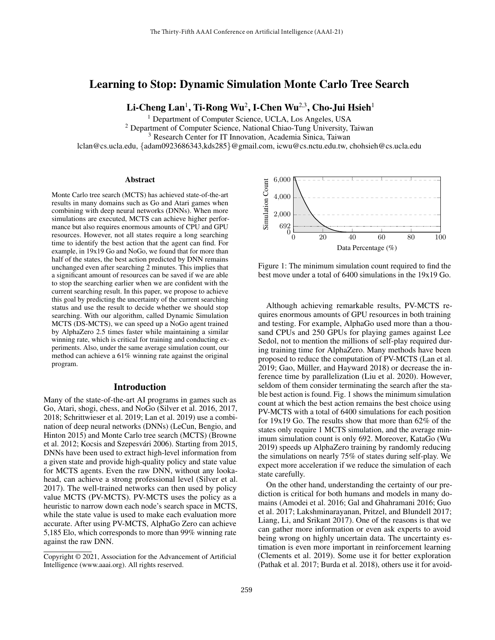# Learning to Stop: Dynamic Simulation Monte Carlo Tree Search

Li-Cheng Lan<sup>1</sup>, Ti-Rong Wu<sup>2</sup>, I-Chen Wu<sup>2,3</sup>, Cho-Jui Hsieh<sup>1</sup>

<sup>1</sup> Department of Computer Science, UCLA, Los Angeles, USA

<sup>2</sup> Department of Computer Science, National Chiao-Tung University, Taiwan

<sup>3</sup> Research Center for IT Innovation, Academia Sinica, Taiwan

lclan@cs.ucla.edu, {adam0923686343,kds285}@gmail.com, icwu@cs.nctu.edu.tw, chohsieh@cs.ucla.edu

#### Abstract

Monte Carlo tree search (MCTS) has achieved state-of-the-art results in many domains such as Go and Atari games when combining with deep neural networks (DNNs). When more simulations are executed, MCTS can achieve higher performance but also requires enormous amounts of CPU and GPU resources. However, not all states require a long searching time to identify the best action that the agent can find. For example, in 19x19 Go and NoGo, we found that for more than half of the states, the best action predicted by DNN remains unchanged even after searching 2 minutes. This implies that a significant amount of resources can be saved if we are able to stop the searching earlier when we are confident with the current searching result. In this paper, we propose to achieve this goal by predicting the uncertainty of the current searching status and use the result to decide whether we should stop searching. With our algorithm, called Dynamic Simulation MCTS (DS-MCTS), we can speed up a NoGo agent trained by AlphaZero 2.5 times faster while maintaining a similar winning rate, which is critical for training and conducting experiments. Also, under the same average simulation count, our method can achieve a 61% winning rate against the original program.

### Introduction

Many of the state-of-the-art AI programs in games such as Go, Atari, shogi, chess, and NoGo (Silver et al. 2016, 2017, 2018; Schrittwieser et al. 2019; Lan et al. 2019) use a combination of deep neural networks (DNNs) (LeCun, Bengio, and Hinton 2015) and Monte Carlo tree search (MCTS) (Browne et al. 2012; Kocsis and Szepesvári 2006). Starting from 2015, DNNs have been used to extract high-level information from a given state and provide high-quality policy and state value for MCTS agents. Even the raw DNN, without any lookahead, can achieve a strong professional level (Silver et al. 2017). The well-trained networks can then used by policy value MCTS (PV-MCTS). PV-MCTS uses the policy as a heuristic to narrow down each node's search space in MCTS, while the state value is used to make each evaluation more accurate. After using PV-MCTS, AlphaGo Zero can achieve 5,185 Elo, which corresponds to more than 99% winning rate against the raw DNN.



Figure 1: The minimum simulation count required to find the best move under a total of 6400 simulations in the 19x19 Go.

Although achieving remarkable results, PV-MCTS requires enormous amounts of GPU resources in both training and testing. For example, AlphaGo used more than a thousand CPUs and 250 GPUs for playing games against Lee Sedol, not to mention the millions of self-play required during training time for AlphaZero. Many methods have been proposed to reduce the computation of PV-MCTS (Lan et al. 2019; Gao, Müller, and Hayward 2018) or decrease the inference time by parallelization (Liu et al. 2020). However, seldom of them consider terminating the search after the stable best action is found. Fig. 1 shows the minimum simulation count at which the best action remains the best choice using PV-MCTS with a total of 6400 simulations for each position for 19x19 Go. The results show that more than 62% of the states only require 1 MCTS simulation, and the average minimum simulation count is only 692. Moreover, KataGo (Wu 2019) speeds up AlphaZero training by randomly reducing the simulations on nearly 75% of states during self-play. We expect more acceleration if we reduce the simulation of each state carefully.

On the other hand, understanding the certainty of our prediction is critical for both humans and models in many domains (Amodei et al. 2016; Gal and Ghahramani 2016; Guo et al. 2017; Lakshminarayanan, Pritzel, and Blundell 2017; Liang, Li, and Srikant 2017). One of the reasons is that we can gather more information or even ask experts to avoid being wrong on highly uncertain data. The uncertainty estimation is even more important in reinforcement learning (Clements et al. 2019). Some use it for better exploration (Pathak et al. 2017; Burda et al. 2018), others use it for avoid-

Copyright © 2021, Association for the Advancement of Artificial Intelligence (www.aaai.org). All rights reserved.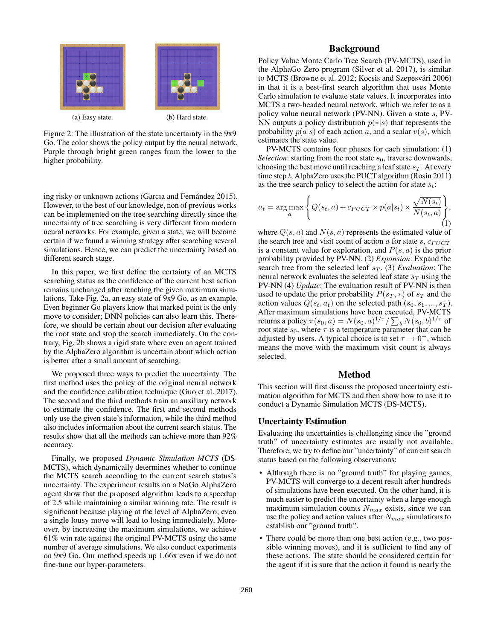

Figure 2: The illustration of the state uncertainty in the 9x9 Go. The color shows the policy output by the neural network. Purple through bright green ranges from the lower to the higher probability.

ing risky or unknown actions (Garcıa and Fernández 2015). However, to the best of our knowledge, non of previous works can be implemented on the tree searching directly since the uncertainty of tree searching is very different from modern neural networks. For example, given a state, we will become certain if we found a winning strategy after searching several simulations. Hence, we can predict the uncertainty based on different search stage.

In this paper, we first define the certainty of an MCTS searching status as the confidence of the current best action remains unchanged after reaching the given maximum simulations. Take Fig. 2a, an easy state of 9x9 Go, as an example. Even beginner Go players know that marked point is the only move to consider; DNN policies can also learn this. Therefore, we should be certain about our decision after evaluating the root state and stop the search immediately. On the contrary, Fig. 2b shows a rigid state where even an agent trained by the AlphaZero algorithm is uncertain about which action is better after a small amount of searching.

We proposed three ways to predict the uncertainty. The first method uses the policy of the original neural network and the confidence calibration technique (Guo et al. 2017). The second and the third methods train an auxiliary network to estimate the confidence. The first and second methods only use the given state's information, while the third method also includes information about the current search status. The results show that all the methods can achieve more than 92% accuracy.

Finally, we proposed *Dynamic Simulation MCTS* (DS-MCTS), which dynamically determines whether to continue the MCTS search according to the current search status's uncertainty. The experiment results on a NoGo AlphaZero agent show that the proposed algorithm leads to a speedup of 2.5 while maintaining a similar winning rate. The result is significant because playing at the level of AlphaZero; even a single lousy move will lead to losing immediately. Moreover, by increasing the maximum simulations, we achieve 61% win rate against the original PV-MCTS using the same number of average simulations. We also conduct experiments on 9x9 Go. Our method speeds up 1.66x even if we do not fine-tune our hyper-parameters.

## Background

Policy Value Monte Carlo Tree Search (PV-MCTS), used in the AlphaGo Zero program (Silver et al. 2017), is similar to MCTS (Browne et al. 2012; Kocsis and Szepesvári 2006) in that it is a best-first search algorithm that uses Monte Carlo simulation to evaluate state values. It incorporates into MCTS a two-headed neural network, which we refer to as a policy value neural network (PV-NN). Given a state s, PV-NN outputs a policy distribution  $p(*|s)$  that represents the probability  $p(a|s)$  of each action a, and a scalar  $v(s)$ , which estimates the state value.

PV-MCTS contains four phases for each simulation: (1) *Selection*: starting from the root state  $s_0$ , traverse downwards, choosing the best move until reaching a leaf state  $s_T$ . At every time step t, AlphaZero uses the PUCT algorithm (Rosin 2011) as the tree search policy to select the action for state  $s_t$ :

$$
a_t = \arg\max_a \left\{ Q(s_t, a) + c_{PUCT} \times p(a|s_t) \times \frac{\sqrt{N(s_t)}}{N(s_t, a)} \right\},\tag{1}
$$

where  $Q(s, a)$  and  $N(s, a)$  represents the estimated value of the search tree and visit count of action  $\alpha$  for state s,  $c_{PI/CT}$ is a constant value for exploration, and  $P(s, a)$  is the prior probability provided by PV-NN. (2) *Expansion*: Expand the search tree from the selected leaf  $s_T$ . (3) *Evaluation*: The neural network evaluates the selected leaf state  $s_T$  using the PV-NN (4) *Update*: The evaluation result of PV-NN is then used to update the prior probability  $P(s_T, *)$  of  $s_T$  and the action values  $Q(s_t, a_t)$  on the selected path  $(s_0, s_1, ..., s_T)$ . After maximum simulations have been executed, PV-MCTS returns a policy  $\pi(s_0, a) = N(s_0, a)^{1/\tau}/\sum_b N(s_0, b)^{1/\tau}$  of root state  $s_0$ , where  $\tau$  is a temperature parameter that can be adjusted by users. A typical choice is to set  $\tau \to 0^+$ , which means the move with the maximum visit count is always selected.

### Method

This section will first discuss the proposed uncertainty estimation algorithm for MCTS and then show how to use it to conduct a Dynamic Simulation MCTS (DS-MCTS).

#### Uncertainty Estimation

Evaluating the uncertainties is challenging since the "ground truth" of uncertainty estimates are usually not available. Therefore, we try to define our "uncertainty" of current search status based on the following observations:

- Although there is no "ground truth" for playing games, PV-MCTS will converge to a decent result after hundreds of simulations have been executed. On the other hand, it is much easier to predict the uncertainty when a large enough maximum simulation counts  $N_{max}$  exists, since we can use the policy and action values after  $N_{max}$  simulations to establish our "ground truth".
- There could be more than one best action (e.g., two possible winning moves), and it is sufficient to find any of these actions. The state should be considered certain for the agent if it is sure that the action it found is nearly the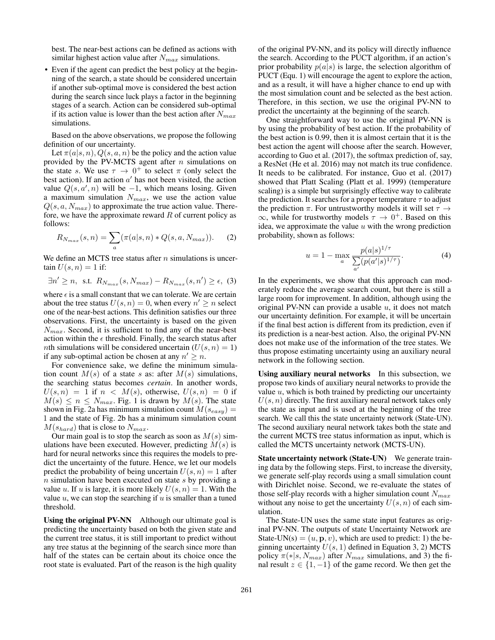best. The near-best actions can be defined as actions with similar highest action value after  $N_{max}$  simulations.

• Even if the agent can predict the best policy at the beginning of the search, a state should be considered uncertain if another sub-optimal move is considered the best action during the search since luck plays a factor in the beginning stages of a search. Action can be considered sub-optimal if its action value is lower than the best action after  $N_{max}$ simulations.

Based on the above observations, we propose the following definition of our uncertainty.

Let  $\pi(a|s, n)$ ,  $Q(s, a, n)$  be the policy and the action value provided by the PV-MCTS agent after  $n$  simulations on the state s. We use  $\tau \to 0^+$  to select  $\pi$  (only select the best action). If an action  $a'$  has not been visited, the action value  $Q(s, a', n)$  will be  $-1$ , which means losing. Given a maximum simulation  $N_{max}$ , we use the action value  $Q(s, a, N_{max})$  to approximate the true action value. Therefore, we have the approximate reward  $R$  of current policy as follows:

$$
R_{N_{max}}(s,n) = \sum_{a} (\pi(a|s,n) * Q(s,a,N_{max})).
$$
 (2)

We define an MCTS tree status after  $n$  simulations is uncertain  $U(s, n) = 1$  if:

$$
\exists n' \ge n, \text{ s.t. } R_{N_{max}}(s, N_{max}) - R_{N_{max}}(s, n') \ge \epsilon, \text{ (3)}
$$

where  $\epsilon$  is a small constant that we can tolerate. We are certain about the tree status  $U(s, n) = 0$ , when every  $n' \geq n$  select one of the near-best actions. This definition satisfies our three observations. First, the uncertainty is based on the given  $N_{max}$ . Second, it is sufficient to find any of the near-best action within the  $\epsilon$  threshold. Finally, the search status after *nth* simulations will be considered uncertain  $(U(s, n) = 1)$ if any sub-optimal action be chosen at any  $n' \geq n$ .

For convenience sake, we define the minimum simulation count  $M(s)$  of a state s as: after  $M(s)$  simulations, the searching status becomes *certain*. In another words,  $U(s,n) = 1$  if  $n < M(s)$ , otherwise,  $U(s,n) = 0$  if  $M(s) \leq n \leq N_{max}$ . Fig. 1 is drawn by  $M(s)$ . The state shown in Fig. 2a has minimum simulation count  $M(s_{easy}) =$ 1 and the state of Fig. 2b has a minimum simulation count  $M(s_{hard})$  that is close to  $N_{max}$ .

Our main goal is to stop the search as soon as  $M(s)$  simulations have been executed. However, predicting  $M(s)$  is hard for neural networks since this requires the models to predict the uncertainty of the future. Hence, we let our models predict the probability of being uncertain  $U(s, n) = 1$  after  $n$  simulation have been executed on state  $s$  by providing a value u. If u is large, it is more likely  $U(s, n) = 1$ . With the value  $u$ , we can stop the searching if  $u$  is smaller than a tuned threshold.

Using the original PV-NN Although our ultimate goal is predicting the uncertainty based on both the given state and the current tree status, it is still important to predict without any tree status at the beginning of the search since more than half of the states can be certain about its choice once the root state is evaluated. Part of the reason is the high quality

of the original PV-NN, and its policy will directly influence the search. According to the PUCT algorithm, if an action's prior probability  $p(a|s)$  is large, the selection algorithm of PUCT (Equ. 1) will encourage the agent to explore the action, and as a result, it will have a higher chance to end up with the most simulation count and be selected as the best action. Therefore, in this section, we use the original PV-NN to predict the uncertainty at the beginning of the search.

One straightforward way to use the original PV-NN is by using the probability of best action. If the probability of the best action is 0.99, then it is almost certain that it is the best action the agent will choose after the search. However, according to Guo et al. (2017), the softmax prediction of, say, a ResNet (He et al. 2016) may not match its true confidence. It needs to be calibrated. For instance, Guo et al. (2017) showed that Platt Scaling (Platt et al. 1999) (temperature scaling) is a simple but surprisingly effective way to calibrate the prediction. It searches for a proper temperature  $\tau$  to adjust the prediction  $\pi$ . For untrustworthy models it will set  $\tau \rightarrow$  $\infty$ , while for trustworthy models  $\tau \to 0^+$ . Based on this idea, we approximate the value  $u$  with the wrong prediction probability, shown as follows:

$$
u = 1 - \max_{a} \frac{p(a|s)^{1/\tau}}{\sum_{a'} (p(a'|s)^{1/\tau})}.
$$
 (4)

In the experiments, we show that this approach can moderately reduce the average search count, but there is still a large room for improvement. In addition, although using the original PV-NN can provide a usable  $u$ , it does not match our uncertainty definition. For example, it will be uncertain if the final best action is different from its prediction, even if its prediction is a near-best action. Also, the original PV-NN does not make use of the information of the tree states. We thus propose estimating uncertainty using an auxiliary neural network in the following section.

Using auxiliary neural networks In this subsection, we propose two kinds of auxiliary neural networks to provide the value  $u$ , which is both trained by predicting our uncertainty  $U(s, n)$  directly. The first auxiliary neural network takes only the state as input and is used at the beginning of the tree search. We call this the state uncertainty network (State-UN). The second auxiliary neural network takes both the state and the current MCTS tree status information as input, which is called the MCTS uncertainty network (MCTS-UN).

State uncertainty network (State-UN) We generate training data by the following steps. First, to increase the diversity, we generate self-play records using a small simulation count with Dirichlet noise. Second, we re-evaluate the states of those self-play records with a higher simulation count  $N_{max}$ without any noise to get the uncertainty  $U(s, n)$  of each simulation.

The State-UN uses the same state input features as original PV-NN. The outputs of state Uncertainty Network are State-UN(s) =  $(u, \mathbf{p}, v)$ , which are used to predict: 1) the beginning uncertainty  $U(s, 1)$  defined in Equation 3, 2) MCTS policy  $\pi(*|s, N_{max})$  after  $N_{max}$  simulations, and 3) the final result  $z \in \{1, -1\}$  of the game record. We then get the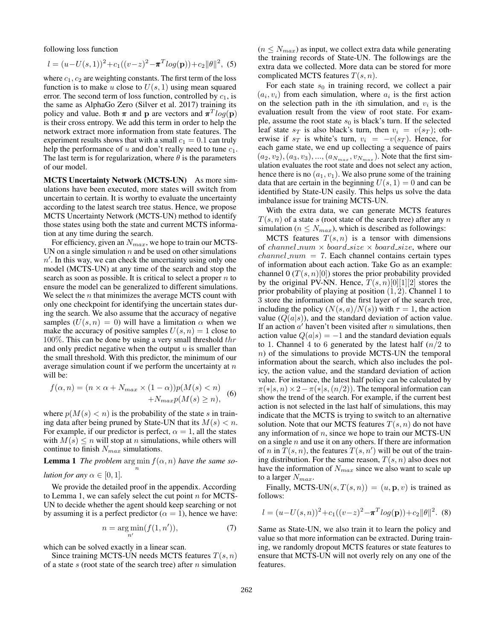following loss function

$$
l = (u - U(s, 1))^2 + c_1((v - z)^2 - \pi^T log(\mathbf{p})) + c_2 ||\theta||^2, (5)
$$

where  $c_1$ ,  $c_2$  are weighting constants. The first term of the loss function is to make u close to  $U(s, 1)$  using mean squared error. The second term of loss function, controlled by  $c_1$ , is the same as AlphaGo Zero (Silver et al. 2017) training its policy and value. Both  $\pi$  and p are vectors and  $\pi^T log(p)$ is their cross entropy. We add this term in order to help the network extract more information from state features. The experiment results shows that with a small  $c_1 = 0.1$  can truly help the performance of u and don't really need to tune  $c_1$ . The last term is for regularization, where  $\theta$  is the parameters of our model.

MCTS Uncertainty Network (MCTS-UN) As more simulations have been executed, more states will switch from uncertain to certain. It is worthy to evaluate the uncertainty according to the latest search tree status. Hence, we propose MCTS Uncertainty Network (MCTS-UN) method to identify those states using both the state and current MCTS information at any time during the search.

For efficiency, given an  $N_{max}$ , we hope to train our MCTS-UN on a single simulation  $n$  and be used on other simulations  $n'$ . In this way, we can check the uncertainty using only one model (MCTS-UN) at any time of the search and stop the search as soon as possible. It is critical to select a proper  $n$  to ensure the model can be generalized to different simulations. We select the  $n$  that minimizes the average MCTS count with only one checkpoint for identifying the uncertain states during the search. We also assume that the accuracy of negative samples  $(U(s, n) = 0)$  will have a limitation  $\alpha$  when we make the accuracy of positive samples  $U(s, n) = 1$  close to 100%. This can be done by using a very small threshold  $thr$ and only predict negative when the output  $u$  is smaller than the small threshold. With this predictor, the minimum of our average simulation count if we perform the uncertainty at  $n$ will be:

$$
f(\alpha, n) = (n \times \alpha + N_{max} \times (1 - \alpha))p(M(s) < n) + N_{max}p(M(s) \ge n), \tag{6}
$$

where  $p(M(s) < n)$  is the probability of the state s in training data after being pruned by State-UN that its  $M(s) < n$ . For example, if our predictor is perfect,  $\alpha = 1$ , all the states with  $M(s) \leq n$  will stop at *n* simulations, while others will continue to finish  $N_{max}$  simulations.

**Lemma 1** *The problem*  $\argmin_{n} f(\alpha, n)$  *have the same so-*

*lution for any*  $\alpha \in [0, 1]$ *.* 

We provide the detailed proof in the appendix. According to Lemma 1, we can safely select the cut point  $n$  for MCTS-UN to decide whether the agent should keep searching or not by assuming it is a perfect predictor ( $\alpha = 1$ ), hence we have:

$$
n = \underset{n'}{\text{arg min}}(f(1, n')), \tag{7}
$$

which can be solved exactly in a linear scan.

Since training MCTS-UN needs MCTS features  $T(s, n)$ of a state s (root state of the search tree) after  $n$  simulation

 $(n \leq N_{max})$  as input, we collect extra data while generating the training records of State-UN. The followings are the extra data we collected. More data can be stored for more complicated MCTS features  $T(s, n)$ .

For each state  $s_0$  in training record, we collect a pair  $(a_i, v_i)$  from each simulation, where  $a_i$  is the first action on the selection path in the *i*th simulation, and  $v_i$  is the evaluation result from the view of root state. For example, assume the root state  $s_0$  is black's turn. If the selected leaf state  $s_T$  is also black's turn, then  $v_i = v(s_T)$ ; otherwise if  $s_T$  is white's turn,  $v_i = -v(s_T)$ . Hence, for each game state, we end up collecting a sequence of pairs  $(a_2, v_2), (a_3, v_3), ..., (a_{N_{max}}, v_{N_{max}})$ . Note that the first simulation evaluates the root state and does not select any action, hence there is no  $(a_1, v_1)$ . We also prune some of the training data that are certain in the beginning  $U(s, 1) = 0$  and can be identified by State-UN easily. This helps us solve the data imbalance issue for training MCTS-UN.

With the extra data, we can generate MCTS features  $T(s, n)$  of a state s (root state of the search tree) after any n simulation ( $n \leq N_{max}$ ), which is described as followings:

MCTS features  $T(s, n)$  is a tensor with dimensions of channel num  $\times$  board size  $\times$  board size, where our  $channel\_num = 7$ . Each channel contains certain types of information about each action. Take Go as an example: channel  $0(T(s, n)[0])$  stores the prior probability provided by the original PV-NN. Hence,  $T(s, n)[0][1][2]$  stores the prior probability of playing at position  $(1, 2)$ . Channel 1 to 3 store the information of the first layer of the search tree, including the policy  $(N(s, a)/N(s))$  with  $\tau = 1$ , the action value  $(Q(a|s))$ , and the standard deviation of action value. If an action  $a'$  haven't been visited after n simulations, then action value  $Q(a|s) = -1$  and the standard deviation equals to 1. Channel 4 to 6 generated by the latest half  $(n/2$  to n) of the simulations to provide MCTS-UN the temporal information about the search, which also includes the policy, the action value, and the standard deviation of action value. For instance, the latest half policy can be calculated by  $\pi(*|s,n) \times 2-\pi(*|s,(n/2))$ . The temporal information can show the trend of the search. For example, if the current best action is not selected in the last half of simulations, this may indicate that the MCTS is trying to switch to an alternative solution. Note that our MCTS features  $T(s, n)$  do not have any information of  $n$ , since we hope to train our MCTS-UN on a single  $n$  and use it on any others. If there are information of *n* in  $\overline{T}(s, n)$ , the features  $\overline{T}(s, n')$  will be out of the training distribution. For the same reason,  $T(s, n)$  also does not have the information of  $N_{max}$  since we also want to scale up to a larger  $N_{max}$ .

Finally, MCTS-UN $(s, T(s, n)) = (u, p, v)$  is trained as follows:

$$
l = (u - U(s, n))^{2} + c_{1}((v - z)^{2} - \pi^{T}log(\mathbf{p})) + c_{2}||\theta||^{2}.
$$
 (8)

Same as State-UN, we also train it to learn the policy and value so that more information can be extracted. During training, we randomly dropout MCTS features or state features to ensure that MCTS-UN will not overly rely on any one of the features.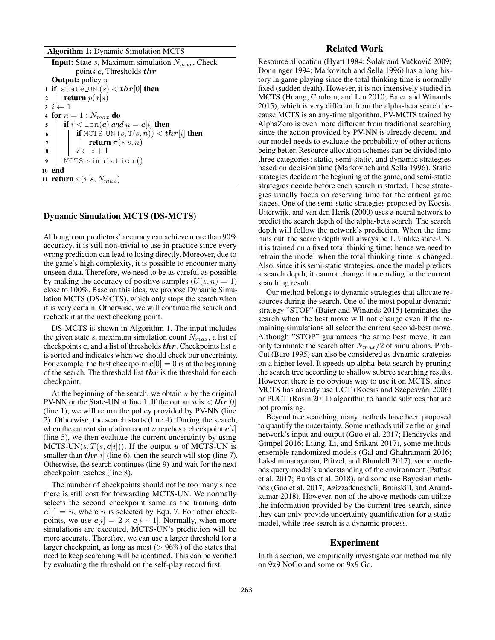Algorithm 1: Dynamic Simulation MCTS

**Input:** State s, Maximum simulation  $N_{max}$ , Check points c, Thresholds thr **Output:** policy  $\pi$ 1 if state\_UN  $(s) < thr[0]$  then 2 | return  $p(*|s)$  $3\ i \leftarrow 1$ 4 for  $n=1$  :  $N_{max}$  do 5 **if**  $i < \text{len}(c)$  *and*  $n = c[i]$  **then** 6 if MCTS UN  $(s, T(s, n)) < \boldsymbol{thr}[i]$  then 7 | | **return**  $\pi(*)s, n$ 8  $i \leftarrow i + 1$ <sup>9</sup> MCTS simulation () <sup>10</sup> end 11 **return**  $\pi(*|s, N_{max})$ 

## Dynamic Simulation MCTS (DS-MCTS)

Although our predictors' accuracy can achieve more than 90% accuracy, it is still non-trivial to use in practice since every wrong prediction can lead to losing directly. Moreover, due to the game's high complexity, it is possible to encounter many unseen data. Therefore, we need to be as careful as possible by making the accuracy of positive samples  $(U(s, n) = 1)$ close to 100%. Base on this idea, we propose Dynamic Simulation MCTS (DS-MCTS), which only stops the search when it is very certain. Otherwise, we will continue the search and recheck it at the next checking point.

DS-MCTS is shown in Algorithm 1. The input includes the given state s, maximum simulation count  $N_{max}$ , a list of checkpoints  $c$ , and a list of thresholds  $thr$ . Checkpoints list  $c$ is sorted and indicates when we should check our uncertainty. For example, the first checkpoint  $c[0] = 0$  is at the beginning of the search. The threshold list  $thr$  is the threshold for each checkpoint.

At the beginning of the search, we obtain  $u$  by the original PV-NN or the State-UN at line 1. If the output u is  $\langle \text{thr}[0] \rangle$ (line 1), we will return the policy provided by PV-NN (line 2). Otherwise, the search starts (line 4). During the search, when the current simulation count n reaches a checkpoint  $c[i]$ (line 5), we then evaluate the current uncertainty by using MCTS-UN $(s, T(s, c[i]))$ . If the output u of MCTS-UN is smaller than  $thr[i]$  (line 6), then the search will stop (line 7). Otherwise, the search continues (line 9) and wait for the next checkpoint reaches (line 8).

The number of checkpoints should not be too many since there is still cost for forwarding MCTS-UN. We normally selects the second checkpoint same as the training data  $c[1] = n$ , where *n* is selected by Equ. 7. For other checkpoints, we use  $c[i] = 2 \times c[i-1]$ . Normally, when more simulations are executed, MCTS-UN's prediction will be more accurate. Therefore, we can use a larger threshold for a larger checkpoint, as long as most ( $> 96\%$ ) of the states that need to keep searching will be identified. This can be verified by evaluating the threshold on the self-play record first.

## Related Work

Resource allocation (Hyatt 1984; Šolak and Vučković 2009; Donninger 1994; Markovitch and Sella 1996) has a long history in game playing since the total thinking time is normally fixed (sudden death). However, it is not intensively studied in MCTS (Huang, Coulom, and Lin 2010; Baier and Winands 2015), which is very different from the alpha-beta search because MCTS is an any-time algorithm. PV-MCTS trained by AlphaZero is even more different from traditional searching since the action provided by PV-NN is already decent, and our model needs to evaluate the probability of other actions being better. Resource allocation schemes can be divided into three categories: static, semi-static, and dynamic strategies based on decision time (Markovitch and Sella 1996). Static strategies decide at the beginning of the game, and semi-static strategies decide before each search is started. These strategies usually focus on reserving time for the critical game stages. One of the semi-static strategies proposed by Kocsis, Uiterwijk, and van den Herik (2000) uses a neural network to predict the search depth of the alpha-beta search. The search depth will follow the network's prediction. When the time runs out, the search depth will always be 1. Unlike state-UN, it is trained on a fixed total thinking time; hence we need to retrain the model when the total thinking time is changed. Also, since it is semi-static strategies, once the model predicts a search depth, it cannot change it according to the current searching result.

Our method belongs to dynamic strategies that allocate resources during the search. One of the most popular dynamic strategy "STOP" (Baier and Winands 2015) terminates the search when the best move will not change even if the remaining simulations all select the current second-best move. Although "STOP" guarantees the same best move, it can only terminate the search after  $N_{max}/2$  of simulations. Prob-Cut (Buro 1995) can also be considered as dynamic strategies on a higher level. It speeds up alpha-beta search by pruning the search tree according to shallow subtree searching results. However, there is no obvious way to use it on MCTS, since MCTS has already use UCT (Kocsis and Szepesvári 2006) or PUCT (Rosin 2011) algorithm to handle subtrees that are not promising.

Beyond tree searching, many methods have been proposed to quantify the uncertainty. Some methods utilize the original network's input and output (Guo et al. 2017; Hendrycks and Gimpel 2016; Liang, Li, and Srikant 2017), some methods ensemble randomized models (Gal and Ghahramani 2016; Lakshminarayanan, Pritzel, and Blundell 2017), some methods query model's understanding of the environment (Pathak et al. 2017; Burda et al. 2018), and some use Bayesian methods (Guo et al. 2017; Azizzadenesheli, Brunskill, and Anandkumar 2018). However, non of the above methods can utilize the information provided by the current tree search, since they can only provide uncertainty quantification for a static model, while tree search is a dynamic process.

#### Experiment

In this section, we empirically investigate our method mainly on 9x9 NoGo and some on 9x9 Go.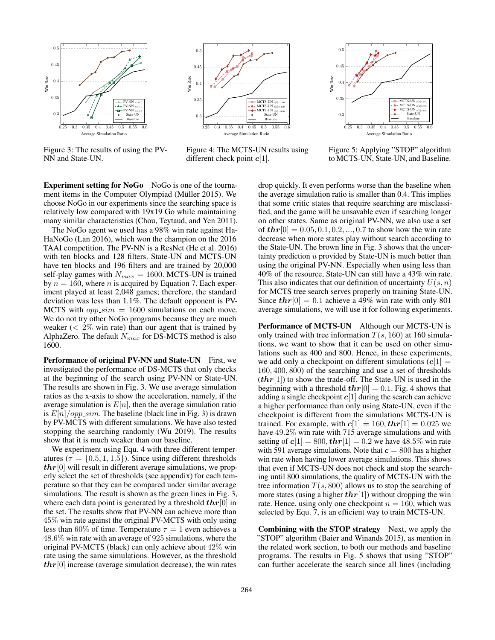

Figure 3: The results of using the PV-NN and State-UN.



Figure 4: The MCTS-UN results using different check point  $c[1]$ .



Figure 5: Applying "STOP" algorithm to MCTS-UN, State-UN, and Baseline.

Experiment setting for NoGo NoGo is one of the tournament items in the Computer Olympiad (Müller 2015). We choose NoGo in our experiments since the searching space is relatively low compared with 19x19 Go while maintaining many similar characteristics (Chou, Teytaud, and Yen 2011).

The NoGo agent we used has a 98% win rate against Ha-HaNoGo (Lan 2016), which won the champion on the 2016 TAAI competition. The PV-NN is a ResNet (He et al. 2016) with ten blocks and 128 filters. State-UN and MCTS-UN have ten blocks and 196 filters and are trained by 20,000 self-play games with  $N_{max} = 1600$ . MCTS-UN is trained by  $n = 160$ , where *n* is acquired by Equation 7. Each experiment played at least 2,048 games; therefore, the standard deviation was less than 1.1%. The default opponent is PV-MCTS with  $opp\_sim = 1600$  simulations on each move. We do not try other NoGo programs because they are much weaker  $\langle 2\% \text{ win rate} \rangle$  than our agent that is trained by AlphaZero. The default  $N_{max}$  for DS-MCTS method is also 1600.

Performance of original PV-NN and State-UN First, we investigated the performance of DS-MCTS that only checks at the beginning of the search using PV-NN or State-UN. The results are shown in Fig. 3. We use average simulation ratios as the x-axis to show the acceleration, namely, if the average simulation is  $E[n]$ , then the average simulation ratio is  $E[n]/opp\_sim$ . The baseline (black line in Fig. 3) is drawn by PV-MCTS with different simulations. We have also tested stopping the searching randomly (Wu 2019). The results show that it is much weaker than our baseline.

We experiment using Equ. 4 with three different temperatures ( $\tau = \{0.5, 1, 1.5\}$ ). Since using different thresholds  $thr[0]$  will result in different average simulations, we properly select the set of thresholds (see appendix) for each temperature so that they can be compared under similar average simulations. The result is shown as the green lines in Fig. 3, where each data point is generated by a threshold  $thr[0]$  in the set. The results show that PV-NN can achieve more than 45% win rate against the original PV-MCTS with only using less than 60% of time. Temperature  $\tau = 1$  even achieves a 48.6% win rate with an average of 925 simulations, where the original PV-MCTS (black) can only achieve about 42% win rate using the same simulations. However, as the threshold  $thr[0]$  increase (average simulation decrease), the win rates

drop quickly. It even performs worse than the baseline when the average simulation ratio is smaller than 0.4. This implies that some critic states that require searching are misclassified, and the game will be unsavable even if searching longer on other states. Same as original PV-NN, we also use a set of  $thr[0] = 0.05, 0.1, 0.2, ..., 0.7$  to show how the win rate decrease when more states play without search according to the State-UN. The brown line in Fig. 3 shows that the uncertainty prediction  $u$  provided by State-UN is much better than using the original PV-NN. Especially when using less than 40% of the resource, State-UN can still have a 43% win rate. This also indicates that our definition of uncertainty  $U(s, n)$ for MCTS tree search serves properly on training State-UN. Since  $thr[0] = 0.1$  achieve a 49% win rate with only 801 average simulations, we will use it for following experiments.

Performance of MCTS-UN Although our MCTS-UN is only trained with tree information  $T(s, 160)$  at 160 simulations, we want to show that it can be used on other simulations such as 400 and 800. Hence, in these experiments, we add only a checkpoint on different simulations  $(c[1] =$ 160, 400, 800) of the searching and use a set of thresholds  $(thr[1])$  to show the trade-off. The State-UN is used in the beginning with a threshold  $thr[0] = 0.1$ . Fig. 4 shows that adding a single checkpoint  $c[1]$  during the search can achieve a higher performance than only using State-UN, even if the checkpoint is different from the simulations MCTS-UN is trained. For example, with  $c[1] = 160$ ,  $thr[1] = 0.025$  we have 49.2% win rate with 715 average simulations and with setting of  $c[1] = 800, \text{thr}[1] = 0.2$  we have 48.5% win rate with 591 average simulations. Note that  $c = 800$  has a higher win rate when having lower average simulations. This shows that even if MCTS-UN does not check and stop the searching until 800 simulations, the quality of MCTS-UN with the tree information  $T(s, 800)$  allows us to stop the searching of more states (using a higher  $thr[1]$ ) without dropping the win rate. Hence, using only one checkpoint  $n = 160$ , which was selected by Equ. 7, is an efficient way to train MCTS-UN.

Combining with the STOP strategy Next, we apply the "STOP" algorithm (Baier and Winands 2015), as mention in the related work section, to both our methods and baseline programs. The results in Fig. 5 shows that using "STOP" can further accelerate the search since all lines (including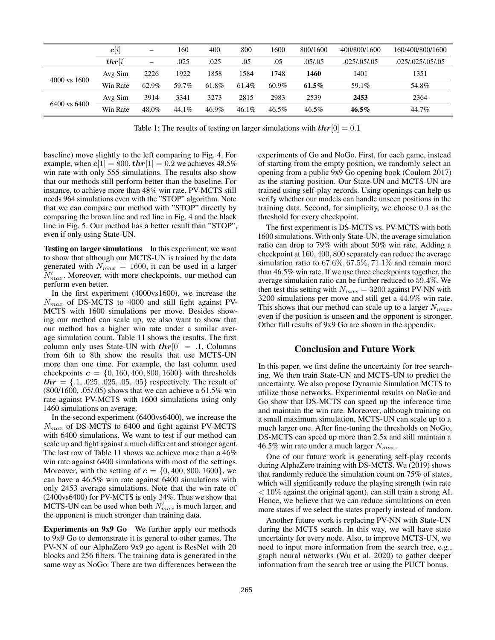|                         | $\boldsymbol{c}[i]$   | $\overline{\phantom{m}}$     | 160   | 400   | 800   | 1600     | 800/1600 | 400/800/1600   | 160/400/800/1600 |
|-------------------------|-----------------------|------------------------------|-------|-------|-------|----------|----------|----------------|------------------|
|                         | $\boldsymbol{thr}[i]$ | $\qquad \qquad \blacksquare$ | .025  | .025  | .05   | .05      | .05/.05  | .025/0.05/0.05 | .025/025/05/05   |
| $4000 \text{ vs } 1600$ | Avg Sim               | 2226                         | 1922  | 1858  | 1584  | 1748     | 1460     | 1401           | 1351             |
|                         | Win Rate              | 62.9%                        | 59.7% | 61.8% | 61.4% | $60.9\%$ | $61.5\%$ | 59.1%          | 54.8%            |
| 6400 vs 6400            | Avg Sim               | 3914                         | 3341  | 3273  | 2815  | 2983     | 2539     | 2453           | 2364             |
|                         | Win Rate              | 48.0%                        | 44.1% | 46.9% | 46.1% | $46.5\%$ | 46.5%    | $46.5\%$       | 44.7%            |

Table 1: The results of testing on larger simulations with  $thr[0] = 0.1$ 

baseline) move slightly to the left comparing to Fig. 4. For example, when  $c[1] = 800, \text{thr}[1] = 0.2$  we achieves 48.5% win rate with only 555 simulations. The results also show that our methods still perform better than the baseline. For instance, to achieve more than 48% win rate, PV-MCTS still needs 964 simulations even with the "STOP" algorithm. Note that we can compare our method with "STOP" directly by comparing the brown line and red line in Fig. 4 and the black line in Fig. 5. Our method has a better result than "STOP", even if only using State-UN.

Testing on larger simulations In this experiment, we want to show that although our MCTS-UN is trained by the data generated with  $N_{max} = 1600$ , it can be used in a larger  $N'_{max}$ . Moreover, with more checkpoints, our method can perform even better.

In the first experiment (4000vs1600), we increase the  $N_{max}$  of DS-MCTS to 4000 and still fight against PV-MCTS with 1600 simulations per move. Besides showing our method can scale up, we also want to show that our method has a higher win rate under a similar average simulation count. Table 11 shows the results. The first column only uses State-UN with  $thr[0] = .1$ . Columns from 6th to 8th show the results that use MCTS-UN more than one time. For example, the last column used checkpoints  $c = \{0, 160, 400, 800, 1600\}$  with thresholds  $thr = \{.1, .025, .025, .05, .05\}$  respectively. The result of (800/1600, .05/.05) shows that we can achieve a 61.5% win rate against PV-MCTS with 1600 simulations using only 1460 simulations on average.

In the second experiment (6400vs6400), we increase the  $N_{max}$  of DS-MCTS to 6400 and fight against PV-MCTS with 6400 simulations. We want to test if our method can scale up and fight against a much different and stronger agent. The last row of Table 11 shows we achieve more than a 46% win rate against 6400 simulations with most of the settings. Moreover, with the setting of  $c = \{0, 400, 800, 1600\}$ , we can have a 46.5% win rate against 6400 simulations with only 2453 average simulations. Note that the win rate of (2400vs6400) for PV-MCTS is only 34%. Thus we show that MCTS-UN can be used when both  $N'_{max}$  is much larger, and the opponent is much stronger than training data.

Experiments on 9x9 Go We further apply our methods to 9x9 Go to demonstrate it is general to other games. The PV-NN of our AlphaZero 9x9 go agent is ResNet with 20 blocks and 256 filters. The training data is generated in the same way as NoGo. There are two differences between the

experiments of Go and NoGo. First, for each game, instead of starting from the empty position, we randomly select an opening from a public 9x9 Go opening book (Coulom 2017) as the starting position. Our State-UN and MCTS-UN are trained using self-play records. Using openings can help us verify whether our models can handle unseen positions in the training data. Second, for simplicity, we choose 0.1 as the threshold for every checkpoint.

The first experiment is DS-MCTS vs. PV-MCTS with both 1600 simulations. With only State-UN, the average simulation ratio can drop to 79% with about 50% win rate. Adding a checkpoint at 160, 400, 800 separately can reduce the average simulation ratio to  $67.6\%, 67.5\%, 71.1\%$  and remain more than 46.5% win rate. If we use three checkpoints together, the average simulation ratio can be further reduced to 59.4%. We then test this setting with  $N_{max} = 3200$  against PV-NN with 3200 simulations per move and still get a 44.9% win rate. This shows that our method can scale up to a larger  $N_{max}$ , even if the position is unseen and the opponent is stronger. Other full results of 9x9 Go are shown in the appendix.

## Conclusion and Future Work

In this paper, we first define the uncertainty for tree searching. We then train State-UN and MCTS-UN to predict the uncertainty. We also propose Dynamic Simulation MCTS to utilize those networks. Experimental results on NoGo and Go show that DS-MCTS can speed up the inference time and maintain the win rate. Moreover, although training on a small maximum simulation, MCTS-UN can scale up to a much larger one. After fine-tuning the thresholds on NoGo, DS-MCTS can speed up more than 2.5x and still maintain a 46.5% win rate under a much larger  $N_{max}$ .

One of our future work is generating self-play records during AlphaZero training with DS-MCTS. Wu (2019) shows that randomly reduce the simulation count on 75% of states, which will significantly reduce the playing strength (win rate  $< 10\%$  against the original agent), can still train a strong AI. Hence, we believe that we can reduce simulations on even more states if we select the states properly instead of random.

Another future work is replacing PV-NN with State-UN during the MCTS search. In this way, we will have state uncertainty for every node. Also, to improve MCTS-UN, we need to input more information from the search tree, e.g., graph neural networks (Wu et al. 2020) to gather deeper information from the search tree or using the PUCT bonus.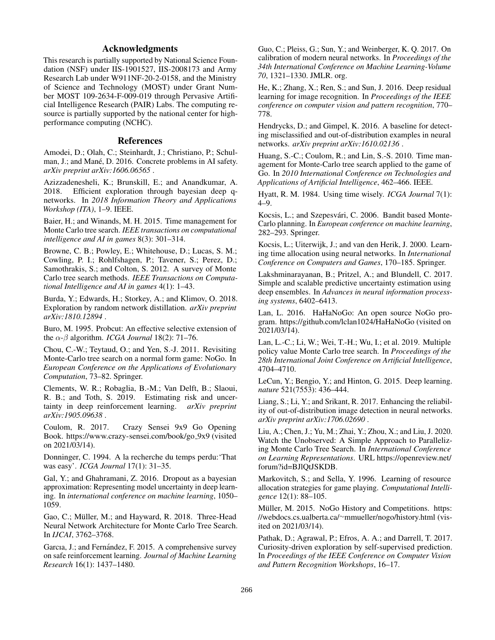## Acknowledgments

This research is partially supported by National Science Foundation (NSF) under IIS-1901527, IIS-2008173 and Army Research Lab under W911NF-20-2-0158, and the Ministry of Science and Technology (MOST) under Grant Number MOST 109-2634-F-009-019 through Pervasive Artificial Intelligence Research (PAIR) Labs. The computing resource is partially supported by the national center for highperformance computing (NCHC).

#### References

Amodei, D.; Olah, C.; Steinhardt, J.; Christiano, P.; Schulman, J.; and Mané, D. 2016. Concrete problems in AI safety. *arXiv preprint arXiv:1606.06565* .

Azizzadenesheli, K.; Brunskill, E.; and Anandkumar, A. 2018. Efficient exploration through bayesian deep qnetworks. In *2018 Information Theory and Applications Workshop (ITA)*, 1–9. IEEE.

Baier, H.; and Winands, M. H. 2015. Time management for Monte Carlo tree search. *IEEE transactions on computational intelligence and AI in games* 8(3): 301–314.

Browne, C. B.; Powley, E.; Whitehouse, D.; Lucas, S. M.; Cowling, P. I.; Rohlfshagen, P.; Tavener, S.; Perez, D.; Samothrakis, S.; and Colton, S. 2012. A survey of Monte Carlo tree search methods. *IEEE Transactions on Computational Intelligence and AI in games* 4(1): 1–43.

Burda, Y.; Edwards, H.; Storkey, A.; and Klimov, O. 2018. Exploration by random network distillation. *arXiv preprint arXiv:1810.12894* .

Buro, M. 1995. Probcut: An effective selective extension of the  $\alpha$ - $\beta$  algorithm. *ICGA Journal* 18(2): 71–76.

Chou, C.-W.; Teytaud, O.; and Yen, S.-J. 2011. Revisiting Monte-Carlo tree search on a normal form game: NoGo. In *European Conference on the Applications of Evolutionary Computation*, 73–82. Springer.

Clements, W. R.; Robaglia, B.-M.; Van Delft, B.; Slaoui, R. B.; and Toth, S. 2019. Estimating risk and uncertainty in deep reinforcement learning. *arXiv preprint arXiv:1905.09638* .

Coulom, R. 2017. Crazy Sensei 9x9 Go Opening Book. https://www.crazy-sensei.com/book/go 9x9 (visited on 2021/03/14).

Donninger, C. 1994. A la recherche du temps perdu:'That was easy'. *ICGA Journal* 17(1): 31–35.

Gal, Y.; and Ghahramani, Z. 2016. Dropout as a bayesian approximation: Representing model uncertainty in deep learning. In *international conference on machine learning*, 1050– 1059.

Gao, C.; Müller, M.; and Hayward, R. 2018. Three-Head Neural Network Architecture for Monte Carlo Tree Search. In *IJCAI*, 3762–3768.

Garcıa, J.; and Fernández, F. 2015. A comprehensive survey on safe reinforcement learning. *Journal of Machine Learning Research* 16(1): 1437–1480.

Guo, C.; Pleiss, G.; Sun, Y.; and Weinberger, K. Q. 2017. On calibration of modern neural networks. In *Proceedings of the 34th International Conference on Machine Learning-Volume 70*, 1321–1330. JMLR. org.

He, K.; Zhang, X.; Ren, S.; and Sun, J. 2016. Deep residual learning for image recognition. In *Proceedings of the IEEE conference on computer vision and pattern recognition*, 770– 778.

Hendrycks, D.; and Gimpel, K. 2016. A baseline for detecting misclassified and out-of-distribution examples in neural networks. *arXiv preprint arXiv:1610.02136* .

Huang, S.-C.; Coulom, R.; and Lin, S.-S. 2010. Time management for Monte-Carlo tree search applied to the game of Go. In *2010 International Conference on Technologies and Applications of Artificial Intelligence*, 462–466. IEEE.

Hyatt, R. M. 1984. Using time wisely. *ICGA Journal* 7(1): 4–9.

Kocsis, L.; and Szepesvári, C. 2006. Bandit based Monte-Carlo planning. In *European conference on machine learning*, 282–293. Springer.

Kocsis, L.; Uiterwijk, J.; and van den Herik, J. 2000. Learning time allocation using neural networks. In *International Conference on Computers and Games*, 170–185. Springer.

Lakshminarayanan, B.; Pritzel, A.; and Blundell, C. 2017. Simple and scalable predictive uncertainty estimation using deep ensembles. In *Advances in neural information processing systems*, 6402–6413.

Lan, L. 2016. HaHaNoGo: An open source NoGo program. https://github.com/lclan1024/HaHaNoGo (visited on 2021/03/14).

Lan, L.-C.; Li, W.; Wei, T.-H.; Wu, I.; et al. 2019. Multiple policy value Monte Carlo tree search. In *Proceedings of the 28th International Joint Conference on Artificial Intelligence*, 4704–4710.

LeCun, Y.; Bengio, Y.; and Hinton, G. 2015. Deep learning. *nature* 521(7553): 436–444.

Liang, S.; Li, Y.; and Srikant, R. 2017. Enhancing the reliability of out-of-distribution image detection in neural networks. *arXiv preprint arXiv:1706.02690* .

Liu, A.; Chen, J.; Yu, M.; Zhai, Y.; Zhou, X.; and Liu, J. 2020. Watch the Unobserved: A Simple Approach to Parallelizing Monte Carlo Tree Search. In *International Conference on Learning Representations*. URL https://openreview.net/ forum?id=BJlQtJSKDB.

Markovitch, S.; and Sella, Y. 1996. Learning of resource allocation strategies for game playing. *Computational Intelligence* 12(1): 88–105.

Müller, M. 2015. NoGo History and Competitions. https: //webdocs.cs.ualberta.ca/∼mmueller/nogo/history.html (visited on 2021/03/14).

Pathak, D.; Agrawal, P.; Efros, A. A.; and Darrell, T. 2017. Curiosity-driven exploration by self-supervised prediction. In *Proceedings of the IEEE Conference on Computer Vision and Pattern Recognition Workshops*, 16–17.